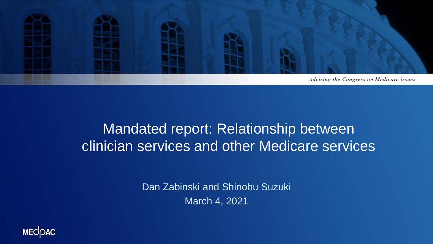

#### Mandated report: Relationship between clinician services and other Medicare services

Dan Zabinski and Shinobu Suzuki March 4, 2021

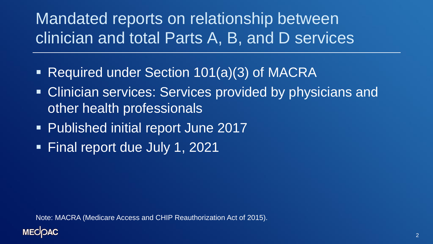#### Mandated reports on relationship between clinician and total Parts A, B, and D services

- Required under Section 101(a)(3) of MACRA
- **EXTE: Clinician services: Services provided by physicians and** other health professionals
- Published initial report June 2017
- Final report due July 1, 2021

Note: MACRA (Medicare Access and CHIP Reauthorization Act of 2015).

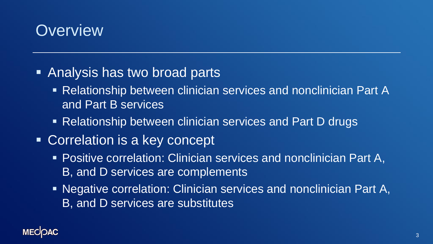#### **Overview**

- Analysis has two broad parts
	- Relationship between clinician services and nonclinician Part A and Part B services
	- Relationship between clinician services and Part D drugs
- Correlation is a key concept
	- Positive correlation: Clinician services and nonclinician Part A, B, and D services are complements
	- Negative correlation: Clinician services and nonclinician Part A, B, and D services are substitutes

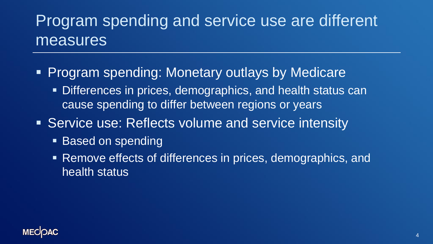#### Program spending and service use are different measures

- **Program spending: Monetary outlays by Medicare** 
	- Differences in prices, demographics, and health status can cause spending to differ between regions or years
- Service use: Reflects volume and service intensity
	- Based on spending
	- Remove effects of differences in prices, demographics, and health status

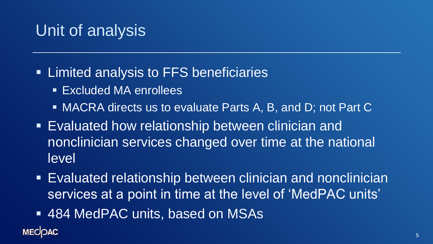#### Unit of analysis

- **Example 2 Limited analysis to FFS beneficiaries** 
	- **Excluded MA enrollees**
	- MACRA directs us to evaluate Parts A, B, and D; not Part C
- **Evaluated how relationship between clinician and** nonclinician services changed over time at the national level
- **Evaluated relationship between clinician and nonclinician** services at a point in time at the level of 'MedPAC units'
- 484 MedPAC units, based on MSAs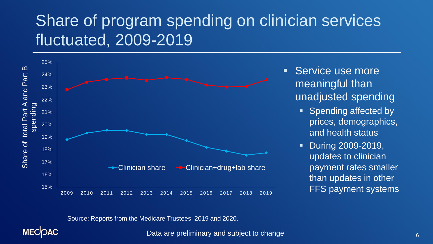#### Share of program spending on clinician services fluctuated, 2009-2019



- Service use more meaningful than unadjusted spending
	- Spending affected by prices, demographics, and health status
	- During 2009-2019, updates to clinician payment rates smaller than updates in other

Source: Reports from the Medicare Trustees, 2019 and 2020.

**MECOAC** 

Data are preliminary and subject to change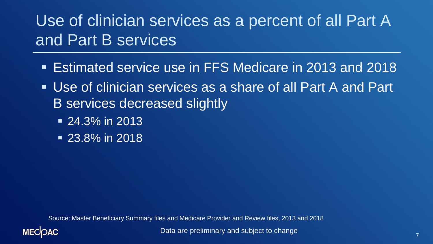#### Use of clinician services as a percent of all Part A and Part B services

- Estimated service use in FFS Medicare in 2013 and 2018
- Use of clinician services as a share of all Part A and Part B services decreased slightly
	- $\overline{24.3\%}$  in 2013
	- $\overline{23.8\%}$  in 2018

Source: Master Beneficiary Summary files and Medicare Provider and Review files, 2013 and 2018



Data are preliminary and subject to change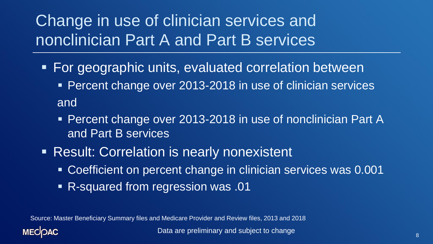#### Change in use of clinician services and nonclinician Part A and Part B services

- **For geographic units, evaluated correlation between** 
	- **Percent change over 2013-2018 in use of clinician services** and
	- Percent change over 2013-2018 in use of nonclinician Part A and Part B services
- **EXECTE: Correlation is nearly nonexistent** 
	- Coefficient on percent change in clinician services was 0.001
	- R-squared from regression was .01

Source: Master Beneficiary Summary files and Medicare Provider and Review files, 2013 and 2018

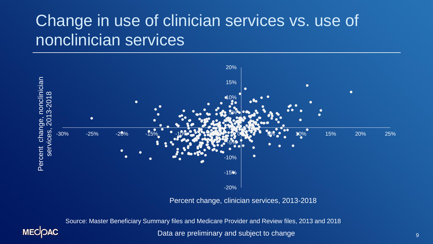#### Change in use of clinician services vs. use of nonclinician services



Percent change, clinician services, 2013-2018

Source: Master Beneficiary Summary files and Medicare Provider and Review files, 2013 and 2018



Data are preliminary and subject to change 9 and 9 and 9 and 9 and 9 and 9 and 9 and 9 and 9 and 9 and 9 and 9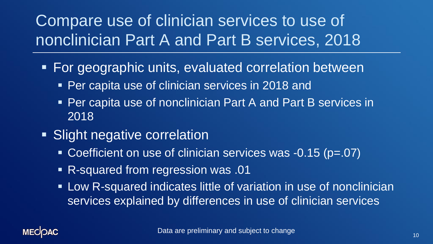#### Compare use of clinician services to use of nonclinician Part A and Part B services, 2018

- For geographic units, evaluated correlation between
	- **Per capita use of clinician services in 2018 and**
	- Per capita use of nonclinician Part A and Part B services in 2018
- **EXIGHT Slight negative correlation** 
	- Coefficient on use of clinician services was -0.15 (p=.07)
	- **R-squared from regression was .01**
	- **EXELGO Progence Indicates little of variation in use of nonclinician** services explained by differences in use of clinician services

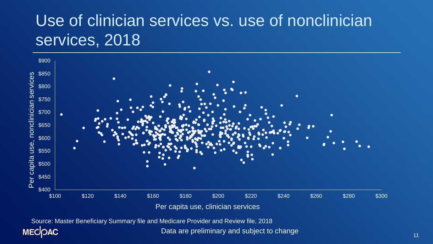#### Use of clinician services vs. use of nonclinician services, 2018



Source: Master Beneficiary Summary file and Medicare Provider and Review file, 2018**MECOAC** 

Data are preliminary and subject to change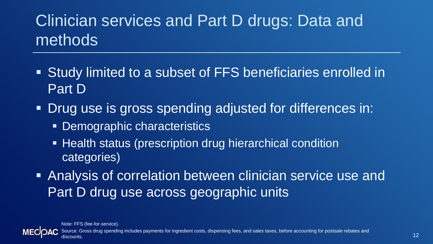# Clinician services and Part D drugs: Data and methods

- Study limited to a subset of FFS beneficiaries enrolled in Part D
- Drug use is gross spending adjusted for differences in:
	- Demographic characteristics
	- **EXTE:** Health status (prescription drug hierarchical condition categories)
- **EXALERE** Analysis of correlation between clinician service use and Part D drug use across geographic units

Note: FFS (fee-for-service).

Source: Gross drug spending includes payments for ingredient costs, dispensing fees, and sales taxes, before accounting for postsale rebates and discounts.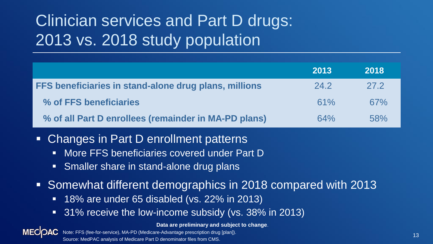# Clinician services and Part D drugs: 2013 vs. 2018 study population

|                                                                                                | 2013 | 2018 |
|------------------------------------------------------------------------------------------------|------|------|
| FFS beneficiaries in stand-alone drug plans, millions                                          | 24.2 | 27.2 |
| % of FFS beneficiaries                                                                         | 61%  | 67%  |
| % of all Part D enrollees (remainder in MA-PD plans)                                           | 64%  | 58%  |
| Changes in Part D enrollment patterns<br>More FFS beneficiaries covered under Part D<br>$\Box$ |      |      |

- Smaller share in stand-alone drug plans
- Somewhat different demographics in 2018 compared with 2013
	- 18% are under 65 disabled (vs. 22% in 2013)
	- 31% receive the low-income subsidy (vs. 38% in 2013)

**Data are preliminary and subject to change**.

**MECOAC** Note: FFS (fee-for-service), MA-PD (Medicare-Advantage prescription drug [plan]). Source: MedPAC analysis of Medicare Part D denominator files from CMS.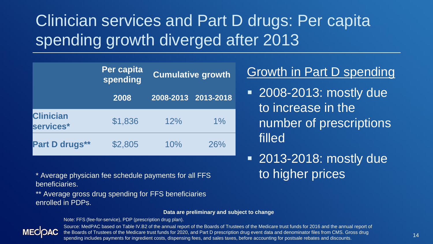#### Clinician services and Part D drugs: Per capita spending growth diverged after 2013

|                               | Per capita<br>spending | <b>Cumulative growth</b> |       |
|-------------------------------|------------------------|--------------------------|-------|
|                               | 2008                   | 2008-2013 2013-2018      |       |
| <b>Clinician</b><br>services* | \$1,836                | 12%                      | $1\%$ |
| Part D drugs**                | \$2,805                | 10%                      | 26%   |

#### Growth in Part D spending

- 2008-2013: mostly due to increase in the number of prescriptions filled
- 2013-2018: mostly due to higher prices

\* Average physician fee schedule payments for all FFS beneficiaries.

\*\* Average gross drug spending for FFS beneficiaries enrolled in PDPs.

#### **Data are preliminary and subject to change**

Note: FFS (fee-for-service), PDP (prescription drug plan).



Source: MedPAC based on Table IV.B2 of the annual report of the Boards of Trustees of the Medicare trust funds for 2016 and the annual report of the Boards of Trustees of the Medicare trust funds for 2020, and Part D prescription drug event data and denominator files from CMS. Gross drug spending includes payments for ingredient costs, dispensing fees, and sales taxes, before accounting for postsale rebates and discounts.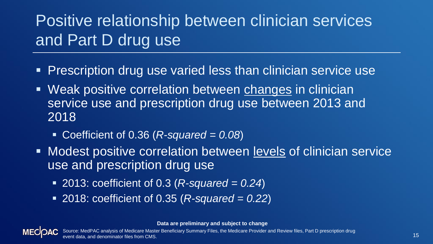# Positive relationship between clinician services and Part D drug use

- **Prescription drug use varied less than clinician service use**
- Weak positive correlation between changes in clinician service use and prescription drug use between 2013 and 2018
	- Coefficient of 0.36 (*R-squared* = *0.08*)
- Modest positive correlation between levels of clinician service use and prescription drug use
	- 2013: coefficient of 0.3 (*R-squared* = *0.24*)
	- 2018: coefficient of 0.35 (*R-squared* = 0.22)

**Data are preliminary and subject to change**

Source: MedPAC analysis of Medicare Master Beneficiary Summary Files, the Medicare Provider and Review files, Part D prescription drug event data, and denominator files from CMS.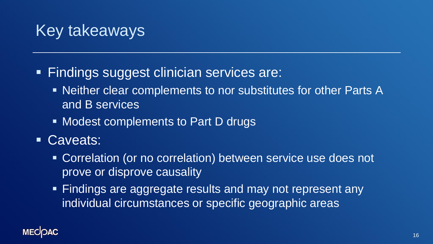#### Key takeaways

- **Eindings suggest clinician services are:** 
	- Neither clear complements to nor substitutes for other Parts A and B services
	- Modest complements to Part D drugs
- Caveats:
	- Correlation (or no correlation) between service use does not prove or disprove causality
	- Findings are aggregate results and may not represent any individual circumstances or specific geographic areas